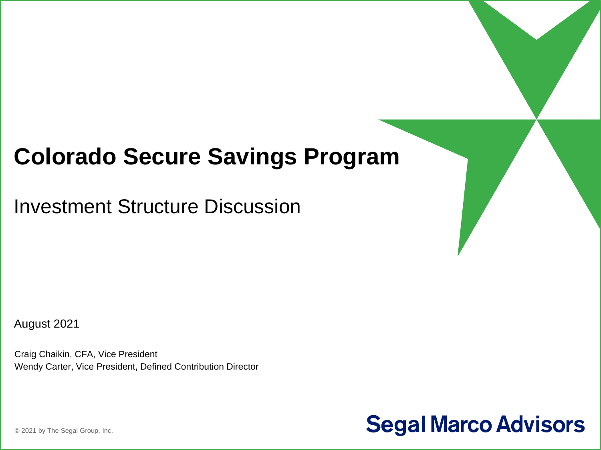## **Colorado Secure Savings Program**

Investment Structure Discussion

August 2021

Craig Chaikin, CFA, Vice President Wendy Carter, Vice President, Defined Contribution Director



© 2021 by The Segal Group, Inc.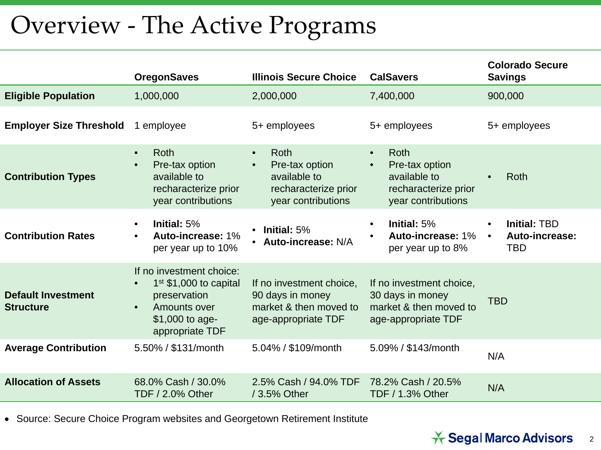# Overview - The Active Programs

|                                               | <b>OregonSaves</b>                                                                                                                      | <b>Illinois Secure Choice</b>                                                                                         | <b>CalSavers</b>                                                                                                      | <b>Colorado Secure</b><br><b>Savings</b>                               |
|-----------------------------------------------|-----------------------------------------------------------------------------------------------------------------------------------------|-----------------------------------------------------------------------------------------------------------------------|-----------------------------------------------------------------------------------------------------------------------|------------------------------------------------------------------------|
| <b>Eligible Population</b>                    | 1,000,000                                                                                                                               | 2,000,000                                                                                                             | 7,400,000                                                                                                             | 900,000                                                                |
| <b>Employer Size Threshold</b>                | 1 employee                                                                                                                              | 5+ employees                                                                                                          | 5+ employees                                                                                                          | 5+ employees                                                           |
| <b>Contribution Types</b>                     | Roth<br>$\bullet$<br>Pre-tax option<br>available to<br>recharacterize prior<br>year contributions                                       | <b>Roth</b><br>$\bullet$<br>Pre-tax option<br>$\bullet$<br>available to<br>recharacterize prior<br>year contributions | <b>Roth</b><br>$\bullet$<br>Pre-tax option<br>$\bullet$<br>available to<br>recharacterize prior<br>year contributions | Roth                                                                   |
| <b>Contribution Rates</b>                     | Initial: 5%<br>$\bullet$<br>Auto-increase: 1%<br>per year up to 10%                                                                     | Initial: 5%<br>$\bullet$<br><b>Auto-increase: N/A</b>                                                                 | Initial: 5%<br>$\bullet$<br>Auto-increase: 1%<br>per year up to 8%                                                    | <b>Initial: TBD</b><br>$\bullet$<br>Auto-increase:<br>$\bullet$<br>TBD |
| <b>Default Investment</b><br><b>Structure</b> | If no investment choice:<br>$1st$ \$1,000 to capital<br>preservation<br>Amounts over<br>$\bullet$<br>\$1,000 to age-<br>appropriate TDF | If no investment choice,<br>90 days in money<br>market & then moved to<br>age-appropriate TDF                         | If no investment choice,<br>30 days in money<br>market & then moved to<br>age-appropriate TDF                         | <b>TBD</b>                                                             |
| <b>Average Contribution</b>                   | 5.50% / \$131/month                                                                                                                     | 5.04% / \$109/month                                                                                                   | 5.09% / \$143/month                                                                                                   | N/A                                                                    |
| <b>Allocation of Assets</b>                   | 68.0% Cash / 30.0%<br><b>TDF / 2.0% Other</b>                                                                                           | 2.5% Cash / 94.0% TDF<br>/ 3.5% Other                                                                                 | 78.2% Cash / 20.5%<br>N/A<br><b>TDF / 1.3% Other</b>                                                                  |                                                                        |

• Source: Secure Choice Program websites and Georgetown Retirement Institute

#### **<del>★ Segal Marco Advisors</del>** 2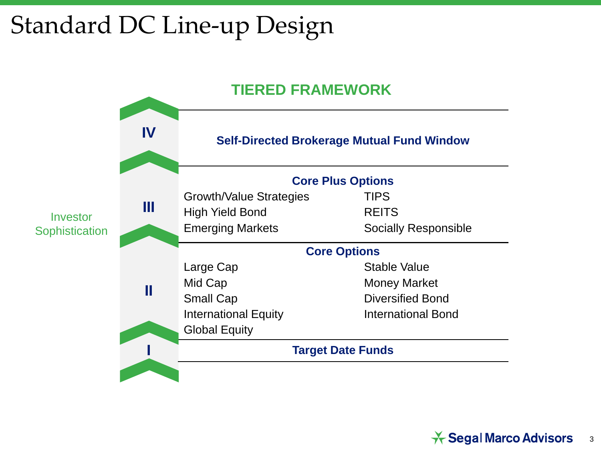# Standard DC Line-up Design

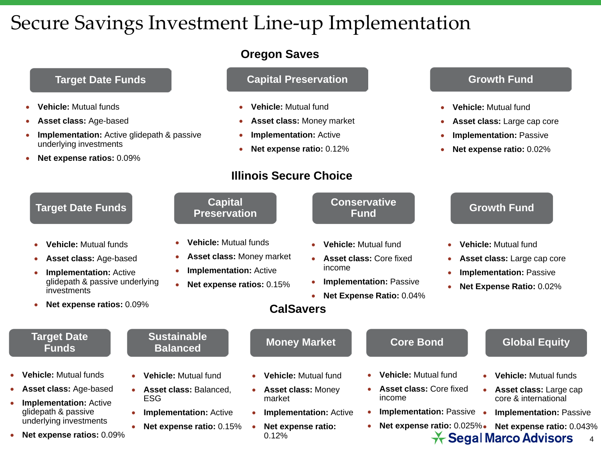## Secure Savings Investment Line-up Implementation

- **Vehicle:** Mutual funds
- **Asset class:** Age-based
- **Implementation:** Active glidepath & passive underlying investments
- **Net expense ratios:** 0.09%

### **Oregon Saves**

### **Target Date Funds Capital Preservation Capital Preservation Capital Preservation Capital Rights Capital Rights Capital Rights Capital Rights Capital Rights Capital Rights Capital Rights Capital Rights Capital Rights Capit**

- **Vehicle:** Mutual fund
- **Asset class:** Money market
- **Implementation:** Active
- **Net expense ratio:** 0.12%

## **Illinois Secure Choice**

- **Vehicle:** Mutual fund
- **Asset class:** Large cap core
- **Implementation:** Passive
- **Net expense ratio:** 0.02%

| <b>Target Date Funds</b>                                                                                                                                                           | <b>Capital</b><br><b>Preservation</b>                                                                                          |                                        |                               | <b>Conservative</b><br><b>Fund</b>                                                                                                 |           | <b>Growth Fund</b>                                                                                                                    |
|------------------------------------------------------------------------------------------------------------------------------------------------------------------------------------|--------------------------------------------------------------------------------------------------------------------------------|----------------------------------------|-------------------------------|------------------------------------------------------------------------------------------------------------------------------------|-----------|---------------------------------------------------------------------------------------------------------------------------------------|
| <b>Vehicle:</b> Mutual funds<br>Asset class: Age-based<br>$\bullet$<br><b>Implementation: Active</b><br>glidepath & passive underlying<br>investments<br>Net expense ratios: 0.09% | <b>Vehicle: Mutual funds</b><br><b>Asset class: Money market</b><br><b>Implementation: Active</b><br>Net expense ratios: 0.15% | <b>CalSavers</b>                       | $\bullet$<br>income<br>٠      | <b>Vehicle:</b> Mutual fund<br><b>Asset class: Core fixed</b><br><b>Implementation: Passive</b><br><b>Net Expense Ratio: 0.04%</b> | $\bullet$ | <b>Vehicle:</b> Mutual fund<br><b>Asset class:</b> Large cap core<br><b>Implementation: Passive</b><br>Net Expense Ratio: 0.02%       |
| <b>Target Date</b><br><b>Funds</b>                                                                                                                                                 | <b>Sustainable</b><br><b>Balanced</b>                                                                                          | <b>Money Market</b>                    |                               | <b>Core Bond</b>                                                                                                                   |           | <b>Global Equity</b>                                                                                                                  |
| <b>Vehicle: Mutual funds</b><br><b>Asset class: Age-based</b>                                                                                                                      | <b>Vehicle:</b> Mutual fund<br>$\bullet$<br><b>Asset class: Balanced.</b><br>$\bullet$                                         | $\bullet$<br><b>Asset class: Money</b> | Vehicle: Mutual fund          | <b>Vehicle:</b> Mutual fund<br>$\bullet$<br><b>Asset class: Core fixed</b><br>$\bullet$                                            | $\bullet$ | <b>Vehicle: Mutual funds</b><br>Asset class: Large cap                                                                                |
| <b>Implementation: Active</b><br>glidepath & passive<br>underlying investments<br>Net expense ratios: 0.09%                                                                        | ESG.<br><b>Implementation: Active</b><br>٠<br>Net expense ratio: 0.15%                                                         | market<br>Net expense ratio:<br>0.12%  | <b>Implementation: Active</b> | income<br><b>Implementation: Passive</b><br>Net expense ratio: 0.025%.<br>$\bullet$                                                | $\bullet$ | core & international<br><b>Implementation: Passive</b><br>Net expense ratio: 0.043%<br>$\star$ Segal Marco Advisors<br>$\overline{4}$ |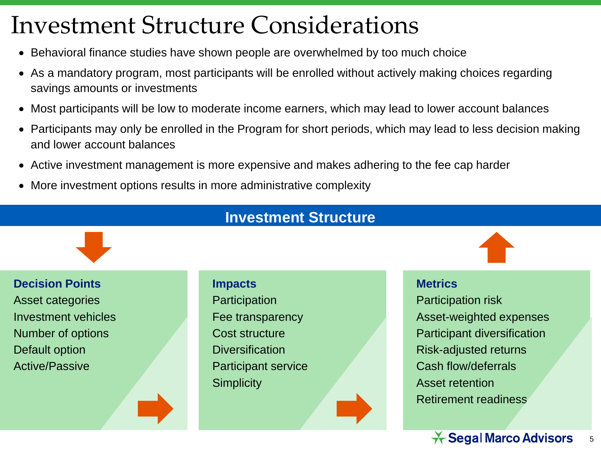## Investment Structure Considerations

- Behavioral finance studies have shown people are overwhelmed by too much choice
- As a mandatory program, most participants will be enrolled without actively making choices regarding savings amounts or investments
- Most participants will be low to moderate income earners, which may lead to lower account balances
- Participants may only be enrolled in the Program for short periods, which may lead to less decision making and lower account balances
- Active investment management is more expensive and makes adhering to the fee cap harder
- More investment options results in more administrative complexity



**Decision Points** Asset categories Investment vehicles Number of options Default option Active/Passive

## **Impacts Participation** Fee transparency Cost structure **Diversification** Participant service **Simplicity**

#### **Metrics**

Participation risk Asset-weighted expenses Participant diversification Risk-adjusted returns Cash flow/deferrals Asset retention Retirement readiness